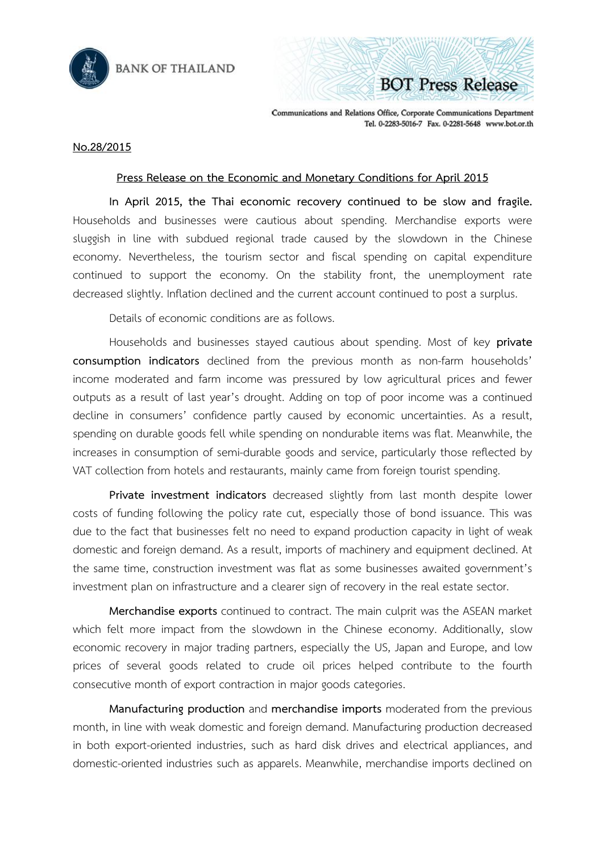



Communications and Relations Office, Corporate Communications Department Tel. 0-2283-5016-7 Fax. 0-2281-5648 www.bot.or.th

## **No.28/2015**

## **Press Release on the Economic and Monetary Conditions for April 2015**

**In April 2015, the Thai economic recovery continued to be slow and fragile.**  Households and businesses were cautious about spending. Merchandise exports were sluggish in line with subdued regional trade caused by the slowdown in the Chinese economy. Nevertheless, the tourism sector and fiscal spending on capital expenditure continued to support the economy. On the stability front, the unemployment rate decreased slightly. Inflation declined and the current account continued to post a surplus.

Details of economic conditions are as follows.

Households and businesses stayed cautious about spending. Most of key **private consumption indicators** declined from the previous month as non-farm households' income moderated and farm income was pressured by low agricultural prices and fewer outputs as a result of last year's drought. Adding on top of poor income was a continued decline in consumers' confidence partly caused by economic uncertainties. As a result, spending on durable goods fell while spending on nondurable items was flat. Meanwhile, the increases in consumption of semi-durable goods and service, particularly those reflected by VAT collection from hotels and restaurants, mainly came from foreign tourist spending.

**Private investment indicators** decreased slightly from last month despite lower costs of funding following the policy rate cut, especially those of bond issuance. This was due to the fact that businesses felt no need to expand production capacity in light of weak domestic and foreign demand. As a result, imports of machinery and equipment declined. At the same time, construction investment was flat as some businesses awaited government's investment plan on infrastructure and a clearer sign of recovery in the real estate sector.

**Merchandise exports** continued to contract. The main culprit was the ASEAN market which felt more impact from the slowdown in the Chinese economy. Additionally, slow economic recovery in major trading partners, especially the US, Japan and Europe, and low prices of several goods related to crude oil prices helped contribute to the fourth consecutive month of export contraction in major goods categories.

**Manufacturing production** and **merchandise imports** moderated from the previous month, in line with weak domestic and foreign demand. Manufacturing production decreased in both export-oriented industries, such as hard disk drives and electrical appliances, and domestic-oriented industries such as apparels. Meanwhile, merchandise imports declined on